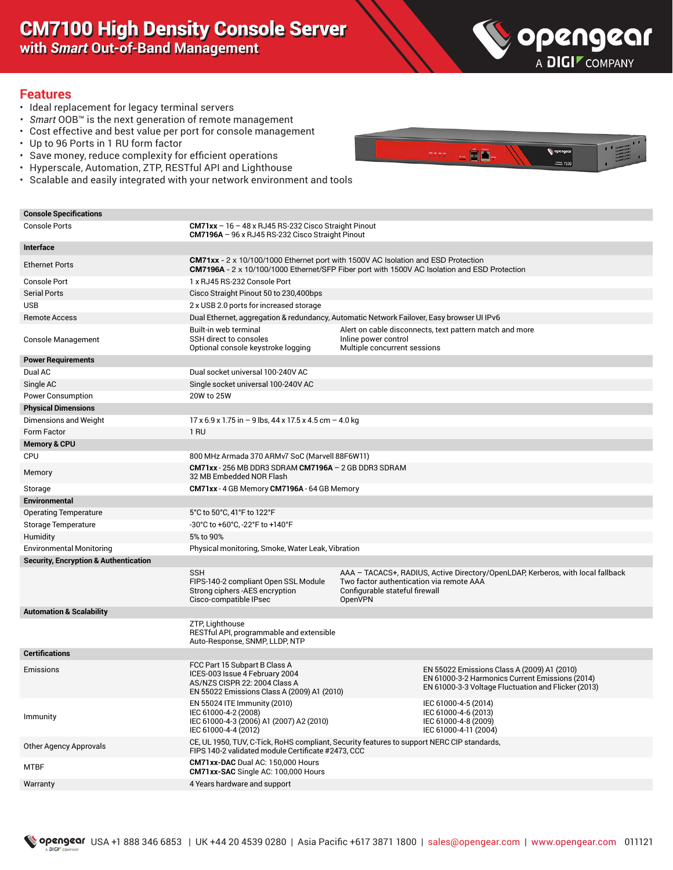# CM7100 High Density Console Server

**with** *Smart* **Out-of-Band Management**



#### **Features**

- Ideal replacement for legacy terminal servers
- *• Smart* OOB™ is the next generation of remote management
- Cost effective and best value per port for console management
- Up to 96 Ports in 1 RU form factor
- Save money, reduce complexity for efficient operations
- Hyperscale, Automation, ZTP, RESTful API and Lighthouse
- Scalable and easily integrated with your network environment and tools

#### **S**openged ėñ.

#### **Console Specifications**

| <b>Console Ports</b>                             | $CM71xx - 16 - 48x RJ45 RS-232 Cisco Straight Pinout$<br>CM7196A - 96 x RJ45 RS-232 Cisco Straight Pinout                                                                                |                                                                                       |                                                                                                                                                       |
|--------------------------------------------------|------------------------------------------------------------------------------------------------------------------------------------------------------------------------------------------|---------------------------------------------------------------------------------------|-------------------------------------------------------------------------------------------------------------------------------------------------------|
| Interface                                        |                                                                                                                                                                                          |                                                                                       |                                                                                                                                                       |
| <b>Ethernet Ports</b>                            | <b>CM71xx</b> - 2 x 10/100/1000 Ethernet port with 1500V AC Isolation and ESD Protection<br>CM7196A - 2 x 10/100/1000 Ethernet/SFP Fiber port with 1500V AC Isolation and ESD Protection |                                                                                       |                                                                                                                                                       |
| <b>Console Port</b>                              | 1 x RJ45 RS-232 Console Port                                                                                                                                                             |                                                                                       |                                                                                                                                                       |
| <b>Serial Ports</b>                              | Cisco Straight Pinout 50 to 230,400bps                                                                                                                                                   |                                                                                       |                                                                                                                                                       |
| <b>USB</b>                                       | 2 x USB 2.0 ports for increased storage                                                                                                                                                  |                                                                                       |                                                                                                                                                       |
| <b>Remote Access</b>                             | Dual Ethernet, aggregation & redundancy, Automatic Network Failover, Easy browser UI IPv6                                                                                                |                                                                                       |                                                                                                                                                       |
| <b>Console Management</b>                        | Built-in web terminal<br>SSH direct to consoles<br>Optional console keystroke logging                                                                                                    | Inline power control<br>Multiple concurrent sessions                                  | Alert on cable disconnects, text pattern match and more                                                                                               |
| <b>Power Requirements</b>                        |                                                                                                                                                                                          |                                                                                       |                                                                                                                                                       |
| Dual AC                                          | Dual socket universal 100-240V AC                                                                                                                                                        |                                                                                       |                                                                                                                                                       |
| Single AC                                        | Single socket universal 100-240V AC                                                                                                                                                      |                                                                                       |                                                                                                                                                       |
| <b>Power Consumption</b>                         | 20W to 25W                                                                                                                                                                               |                                                                                       |                                                                                                                                                       |
| <b>Physical Dimensions</b>                       |                                                                                                                                                                                          |                                                                                       |                                                                                                                                                       |
| Dimensions and Weight                            | $17 \times 6.9 \times 1.75$ in $-9$ lbs, 44 x 17.5 x 4.5 cm $-4.0$ kg                                                                                                                    |                                                                                       |                                                                                                                                                       |
| Form Factor                                      | 1 RU                                                                                                                                                                                     |                                                                                       |                                                                                                                                                       |
| <b>Memory &amp; CPU</b>                          |                                                                                                                                                                                          |                                                                                       |                                                                                                                                                       |
| <b>CPU</b>                                       | 800 MHz Armada 370 ARMv7 SoC (Marvell 88F6W11)                                                                                                                                           |                                                                                       |                                                                                                                                                       |
| Memory                                           | CM71xx - 256 MB DDR3 SDRAM CM7196A $-$ 2 GB DDR3 SDRAM<br>32 MB Embedded NOR Flash                                                                                                       |                                                                                       |                                                                                                                                                       |
| Storage                                          | CM71xx - 4 GB Memory CM7196A - 64 GB Memory                                                                                                                                              |                                                                                       |                                                                                                                                                       |
| Environmental                                    |                                                                                                                                                                                          |                                                                                       |                                                                                                                                                       |
| <b>Operating Temperature</b>                     | 5°C to 50°C, 41°F to 122°F                                                                                                                                                               |                                                                                       |                                                                                                                                                       |
| <b>Storage Temperature</b>                       | -30°C to +60°C, -22°F to +140°F                                                                                                                                                          |                                                                                       |                                                                                                                                                       |
| Humidity                                         | 5% to 90%                                                                                                                                                                                |                                                                                       |                                                                                                                                                       |
| <b>Environmental Monitoring</b>                  | Physical monitoring, Smoke, Water Leak, Vibration                                                                                                                                        |                                                                                       |                                                                                                                                                       |
| <b>Security, Encryption &amp; Authentication</b> |                                                                                                                                                                                          |                                                                                       |                                                                                                                                                       |
|                                                  | <b>SSH</b><br>FIPS-140-2 compliant Open SSL Module<br>Strong ciphers - AES encryption<br>Cisco-compatible IPsec                                                                          | Two factor authentication via remote AAA<br>Configurable stateful firewall<br>OpenVPN | AAA – TACACS+, RADIUS, Active Directory/OpenLDAP, Kerberos, with local fallback                                                                       |
| <b>Automation &amp; Scalability</b>              |                                                                                                                                                                                          |                                                                                       |                                                                                                                                                       |
|                                                  | ZTP, Lighthouse<br>RESTful API, programmable and extensible<br>Auto-Response, SNMP, LLDP, NTP                                                                                            |                                                                                       |                                                                                                                                                       |
| <b>Certifications</b>                            |                                                                                                                                                                                          |                                                                                       |                                                                                                                                                       |
| Emissions                                        | FCC Part 15 Subpart B Class A<br>ICES-003 Issue 4 February 2004<br>AS/NZS CISPR 22: 2004 Class A<br>EN 55022 Emissions Class A (2009) A1 (2010)                                          |                                                                                       | EN 55022 Emissions Class A (2009) A1 (2010)<br>EN 61000-3-2 Harmonics Current Emissions (2014)<br>EN 61000-3-3 Voltage Fluctuation and Flicker (2013) |
| Immunity                                         | EN 55024 ITE Immunity (2010)<br>IEC 61000-4-2 (2008)<br>IEC 61000-4-3 (2006) A1 (2007) A2 (2010)<br>IEC 61000-4-4 (2012)                                                                 |                                                                                       | IEC 61000-4-5 (2014)<br>IEC 61000-4-6 (2013)<br>IEC 61000-4-8 (2009)<br>IEC 61000-4-11 (2004)                                                         |
| Other Agency Approvals                           | CE, UL 1950, TUV, C-Tick, RoHS compliant, Security features to support NERC CIP standards,<br>FIPS 140-2 validated module Certificate #2473, CCC                                         |                                                                                       |                                                                                                                                                       |
| <b>MTBF</b>                                      | CM71xx-DAC Dual AC: 150,000 Hours<br>CM71xx-SAC Single AC: 100,000 Hours                                                                                                                 |                                                                                       |                                                                                                                                                       |
| Warranty                                         | 4 Years hardware and support                                                                                                                                                             |                                                                                       |                                                                                                                                                       |